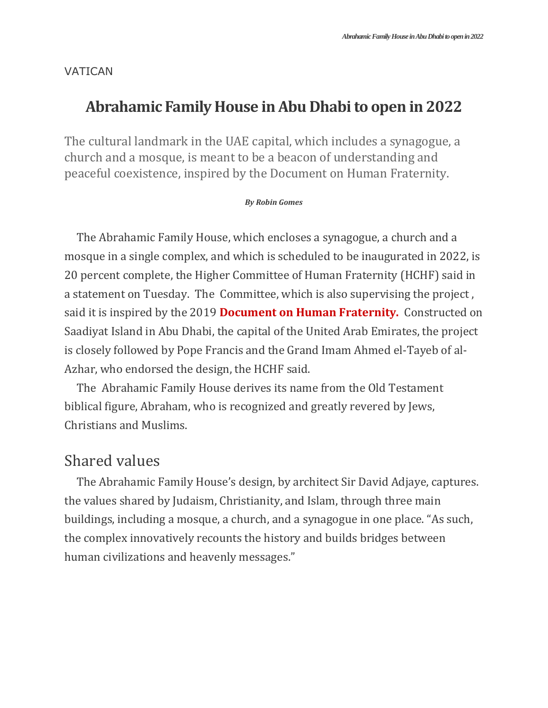### VATICAN

# **Abrahamic Family House in Abu Dhabi to open in 2022**

The cultural landmark in the UAE capital, which includes a synagogue, a church and a mosque, is meant to be a beacon of understanding and peaceful coexistence, inspired by the Document on Human Fraternity.

#### *By Robin Gomes*

The Abrahamic Family House, which encloses a synagogue, a church and a mosque in a single complex, and which is scheduled to be inaugurated in 2022, is 20 percent complete, the Higher Committee of Human Fraternity (HCHF) said in a statement on Tuesday. The Committee, which is also supervising the project , said it is inspired by the 2019 **[Document on Human Fraternity.](https://www.vatican.va/content/francesco/en/travels/2019/outside/documents/papa-francesco_20190204_documento-fratellanza-umana.html)** Constructed on Saadiyat Island in Abu Dhabi, the capital of the United Arab Emirates, the project is closely followed by Pope Francis and the Grand Imam Ahmed el-Tayeb of al-Azhar, who endorsed the design, the HCHF said.

The Abrahamic Family House derives its name from the Old Testament biblical figure, Abraham, who is recognized and greatly revered by Jews, Christians and Muslims.

### Shared values

The Abrahamic Family House's design, by architect Sir David Adjaye, captures. the values shared by Judaism, Christianity, and Islam, through three main buildings, including a mosque, a church, and a synagogue in one place. "As such, the complex innovatively recounts the history and builds bridges between human civilizations and heavenly messages."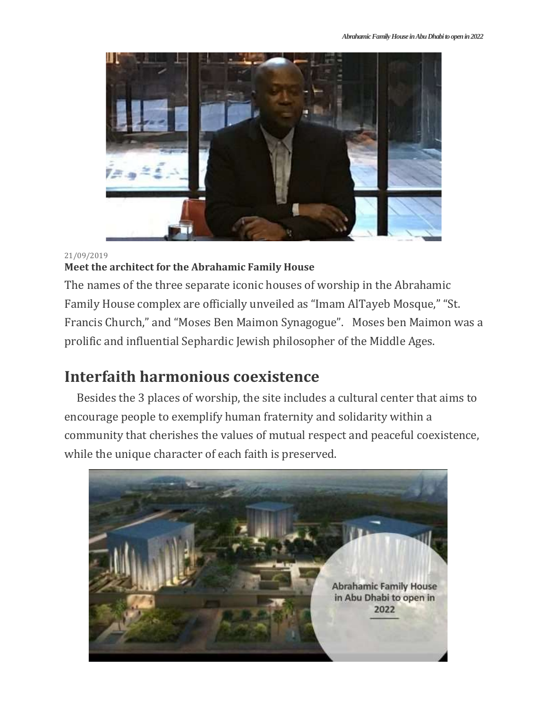

#### 21/09/2019

### **[Meet the architect for the Abrahamic Family House](https://www.vaticannews.va/en/world/news/2019-09/abrahamic-family-house-document-human-fraternity.html)**

The names of the three separate iconic houses of worship in the Abrahamic Family House complex are officially unveiled as "Imam AlTayeb Mosque," "St. Francis Church," and "Moses Ben Maimon Synagogue". Moses ben Maimon was a prolific and influential Sephardic Jewish philosopher of the Middle Ages.

## **Interfaith harmonious coexistence**

Besides the 3 places of worship, the site includes a cultural center that aims to encourage people to exemplify human fraternity and solidarity within a community that cherishes the values of mutual respect and peaceful coexistence, while the unique character of each faith is preserved.

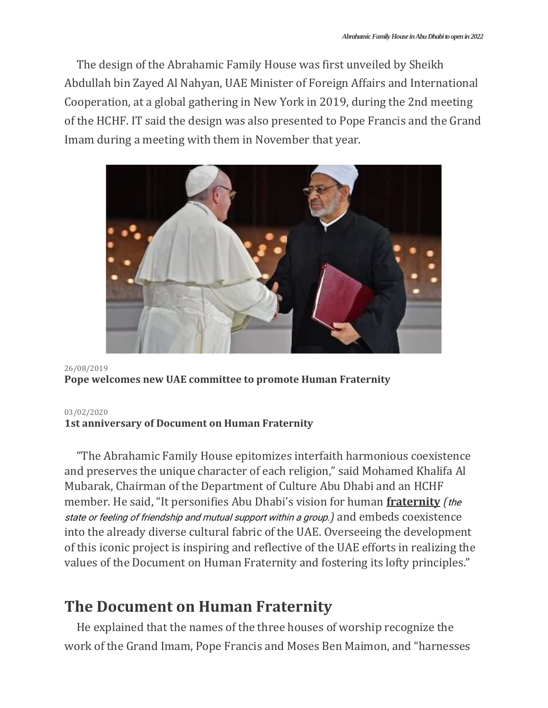The design of the Abrahamic Family House was first unveiled by Sheikh Abdullah bin Zayed Al Nahyan, UAE Minister of Foreign Affairs and International Cooperation, at a global gathering in New York in 2019, during the 2nd meeting of the HCHF. IT said the design was also presented to Pope Francis and the Grand Imam during a meeting with them in November that year.



#### 26/08/2019 **[Pope welcomes new UAE committee to promote Human Fraternity](https://www.vaticannews.va/en/pope/news/2019-08/pope-francis-welcomes-uae-fraternity-committee.html)**

#### [03/02/2020](https://www.vaticannews.va/en/pope/news/2020-02/pope-grand-imam-document-human-fraternity-anniversary.html)

#### **1st [anniversary](https://www.vaticannews.va/en/pope/news/2020-02/pope-grand-imam-document-human-fraternity-anniversary.html) of Document on Human Fraternity**

"The Abrahamic Family House epitomizes interfaith harmonious coexistence and preserves the unique character of each religion," said Mohamed Khalifa Al Mubarak, Chairman of the Department of Culture Abu Dhabi and an HCHF member. He said, "It personifies Abu Dhabi's vision for human **fraternity** *(*the state or feeling of friendship and mutual support within a group.*)* and embeds coexistence into the already diverse cultural fabric of the UAE. Overseeing the development of this iconic project is inspiring and reflective of the UAE efforts in realizing the values of the Document on Human Fraternity and fostering its lofty principles."

# **The Document on Human Fraternity**

He explained that the names of the three houses of worship recognize the work of the Grand Imam, Pope Francis and Moses Ben Maimon, and "harnesses